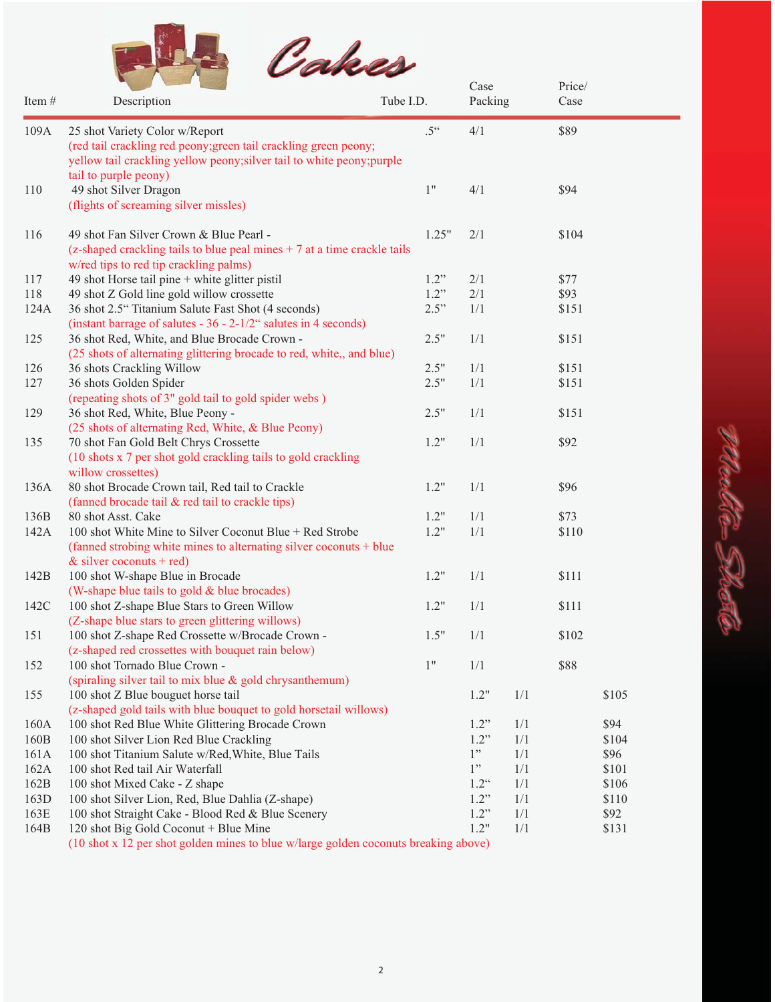

| Item# | Description                                                                         | Tube I.D.          | Case<br>Packing    | $\Gamma$ IICE/<br>Case |       |       |
|-------|-------------------------------------------------------------------------------------|--------------------|--------------------|------------------------|-------|-------|
| 109A  | 25 shot Variety Color w/Report                                                      | $.5$ <sup>66</sup> | 4/1                |                        | \$89  |       |
|       | (red tail crackling red peony; green tail crackling green peony;                    |                    |                    |                        |       |       |
|       | yellow tail crackling yellow peony; silver tail to white peony; purple              |                    |                    |                        |       |       |
|       | tail to purple peony)                                                               |                    |                    |                        |       |       |
| 110   | 49 shot Silver Dragon                                                               | $1"$               | 4/1                |                        | \$94  |       |
|       | (flights of screaming silver missles)                                               |                    |                    |                        |       |       |
| 116   | 49 shot Fan Silver Crown & Blue Pearl -                                             | 1.25"              | 2/1                |                        | \$104 |       |
|       | (z-shaped crackling tails to blue peal mines $+7$ at a time crackle tails           |                    |                    |                        |       |       |
|       | w/red tips to red tip crackling palms)                                              |                    |                    |                        |       |       |
| 117   | 49 shot Horse tail pine + white glitter pistil                                      | 1.2"               | 2/1                |                        | \$77  |       |
| 118   | 49 shot Z Gold line gold willow crossette                                           | 1.2"               | 2/1                |                        | \$93  |       |
| 124A  | 36 shot 2.5" Titanium Salute Fast Shot (4 seconds)                                  | 2.5"               | 1/1                |                        | \$151 |       |
|       | (instant barrage of salutes - $36 - 2 - 1/2$ " salutes in 4 seconds)                |                    |                    |                        |       |       |
| 125   | 36 shot Red, White, and Blue Brocade Crown -                                        | 2.5"               | 1/1                |                        | \$151 |       |
|       | (25 shots of alternating glittering brocade to red, white,, and blue)               |                    |                    |                        |       |       |
| 126   | 36 shots Crackling Willow                                                           | 2.5"               | 1/1                |                        | \$151 |       |
| 127   | 36 shots Golden Spider                                                              | 2.5"               | 1/1                |                        | \$151 |       |
|       | (repeating shots of 3" gold tail to gold spider webs )                              |                    |                    |                        |       |       |
| 129   | 36 shot Red, White, Blue Peony -                                                    | 2.5"               | 1/1                |                        | \$151 |       |
|       | (25 shots of alternating Red, White, & Blue Peony)                                  |                    |                    |                        |       |       |
| 135   | 70 shot Fan Gold Belt Chrys Crossette                                               | 1.2"               | 1/1                |                        | \$92  |       |
|       | (10 shots x 7 per shot gold crackling tails to gold crackling                       |                    |                    |                        |       |       |
|       | willow crossettes)                                                                  |                    |                    |                        |       |       |
| 136A  | 80 shot Brocade Crown tail, Red tail to Crackle                                     | 1.2"               | 1/1                |                        | \$96  |       |
|       | (fanned brocade tail & red tail to crackle tips)                                    |                    |                    |                        |       |       |
| 136B  | 80 shot Asst. Cake                                                                  | 1.2"               | 1/1                |                        | \$73  |       |
| 142A  | 100 shot White Mine to Silver Coconut Blue + Red Strobe                             | 1.2"               | 1/1                |                        | \$110 |       |
|       | (fanned strobing white mines to alternating silver coconuts + blue                  |                    |                    |                        |       |       |
|       | & silver coconuts + red)                                                            |                    |                    |                        |       |       |
| 142B  | 100 shot W-shape Blue in Brocade                                                    | 1.2"               | 1/1                |                        | \$111 |       |
|       | (W-shape blue tails to gold & blue brocades)                                        |                    |                    |                        |       |       |
| 142C  | 100 shot Z-shape Blue Stars to Green Willow                                         | 1.2"               | 1/1                |                        | \$111 |       |
|       | (Z-shape blue stars to green glittering willows)                                    |                    |                    |                        |       |       |
| 151   | 100 shot Z-shape Red Crossette w/Brocade Crown -                                    | 1.5"               | 1/1                |                        | \$102 |       |
|       | (z-shaped red crossettes with bouquet rain below)                                   |                    |                    |                        |       |       |
| 152   | 100 shot Tornado Blue Crown -                                                       | 1"                 | 1/1                |                        | \$88  |       |
|       | (spiraling silver tail to mix blue & gold chrysanthemum)                            |                    |                    |                        |       |       |
| 155   | 100 shot Z Blue bouguet horse tail                                                  |                    | 1.2"               | 1/1                    |       | \$105 |
|       | (z-shaped gold tails with blue bouquet to gold horsetail willows)                   |                    |                    |                        |       |       |
| 160A  | 100 shot Red Blue White Glittering Brocade Crown                                    |                    | 1.2"               | 1/1                    |       | \$94  |
| 160B  | 100 shot Silver Lion Red Blue Crackling                                             |                    | 1.2"               | 1/1                    |       | \$104 |
| 161A  | 100 shot Titanium Salute w/Red, White, Blue Tails                                   |                    | 1"                 | 1/1                    |       | \$96  |
| 162A  | 100 shot Red tail Air Waterfall                                                     |                    | 1"                 | 1/1                    |       | \$101 |
| 162B  | 100 shot Mixed Cake - Z shape                                                       |                    | $1.2$ <sup>"</sup> | 1/1                    |       | \$106 |
| 163D  | 100 shot Silver Lion, Red, Blue Dahlia (Z-shape)                                    |                    | 1.2"               | 1/1                    |       | \$110 |
| 163E  | 100 shot Straight Cake - Blood Red & Blue Scenery                                   |                    | 1.2"               | 1/1                    |       | \$92  |
| 164B  | 120 shot Big Gold Coconut + Blue Mine                                               |                    | 1.2"               | 1/1                    |       | \$131 |
|       | (10 shot x 12 per shot golden mines to blue w/large golden coconuts breaking above) |                    |                    |                        |       |       |

heel to Sh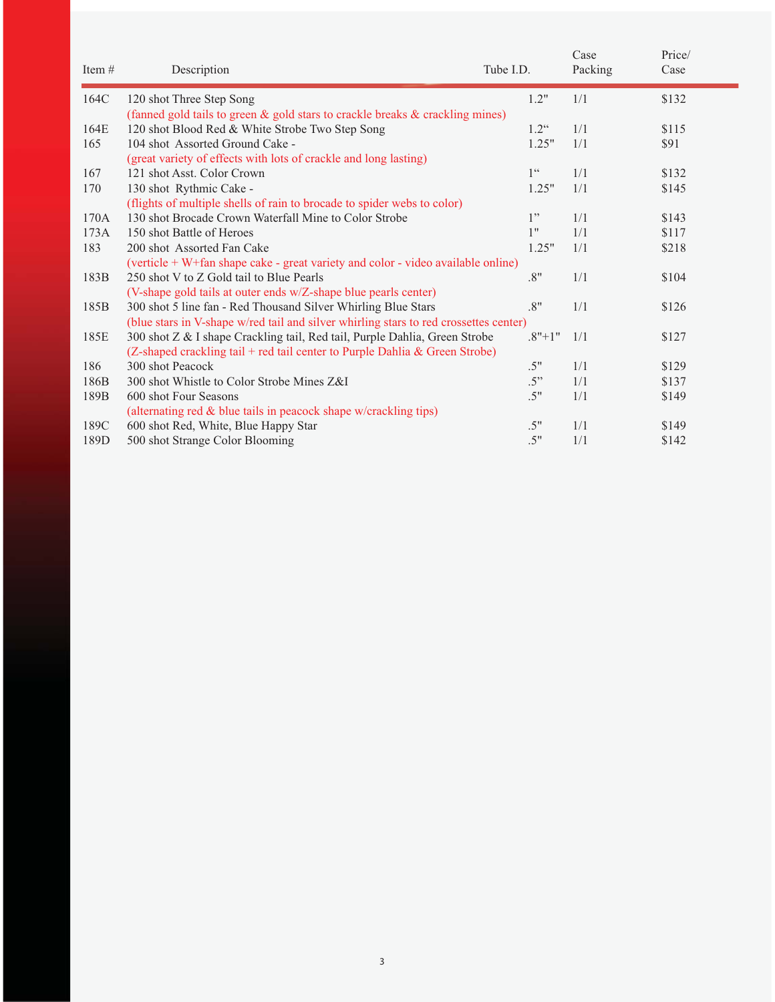| Item# | Description                                                                           | Tube I.D.          | Case<br>Packing | Price/<br>Case |
|-------|---------------------------------------------------------------------------------------|--------------------|-----------------|----------------|
| 164C  | 120 shot Three Step Song                                                              | 1.2"               | 1/1             | \$132          |
|       | (fanned gold tails to green & gold stars to crackle breaks & crackling mines)         |                    |                 |                |
| 164E  | 120 shot Blood Red & White Strobe Two Step Song                                       | $1.2$ <sup>"</sup> | 1/1             | \$115          |
| 165   | 104 shot Assorted Ground Cake -                                                       | 1.25"              | 1/1             | \$91           |
|       | (great variety of effects with lots of crackle and long lasting)                      |                    |                 |                |
| 167   | 121 shot Asst. Color Crown                                                            | 1 <sup>66</sup>    | 1/1             | \$132          |
| 170   | 130 shot Rythmic Cake -                                                               | 1.25"              | 1/1             | \$145          |
|       | (flights of multiple shells of rain to brocade to spider webs to color)               |                    |                 |                |
| 170A  | 130 shot Brocade Crown Waterfall Mine to Color Strobe                                 | 1"                 | 1/1             | \$143          |
| 173A  | 150 shot Battle of Heroes                                                             | 1"                 | 1/1             | \$117          |
| 183   | 200 shot Assorted Fan Cake                                                            | 1.25"              | 1/1             | \$218          |
|       | (verticle + W+fan shape cake - great variety and color - video available online)      |                    |                 |                |
| 183B  | 250 shot V to Z Gold tail to Blue Pearls                                              | .8"                | 1/1             | \$104          |
|       | (V-shape gold tails at outer ends w/Z-shape blue pearls center)                       |                    |                 |                |
| 185B  | 300 shot 5 line fan - Red Thousand Silver Whirling Blue Stars                         | .8"                | 1/1             | \$126          |
|       | (blue stars in V-shape w/red tail and silver whirling stars to red crossettes center) |                    |                 |                |
| 185E  | 300 shot Z & I shape Crackling tail, Red tail, Purple Dahlia, Green Strobe            | $.8"+1"$           | 1/1             | \$127          |
|       | (Z-shaped crackling tail + red tail center to Purple Dahlia & Green Strobe)           |                    |                 |                |
| 186   | 300 shot Peacock                                                                      | .5"                | 1/1             | \$129          |
| 186B  | 300 shot Whistle to Color Strobe Mines Z&I                                            | .5"                | 1/1             | \$137          |
| 189B  | 600 shot Four Seasons                                                                 | .5"                | 1/1             | \$149          |
|       | (alternating red & blue tails in peacock shape w/crackling tips)                      |                    |                 |                |
| 189C  | 600 shot Red, White, Blue Happy Star                                                  | .5"                | 1/1             | \$149          |
| 189D  | 500 shot Strange Color Blooming                                                       | .5"                | 1/1             | \$142          |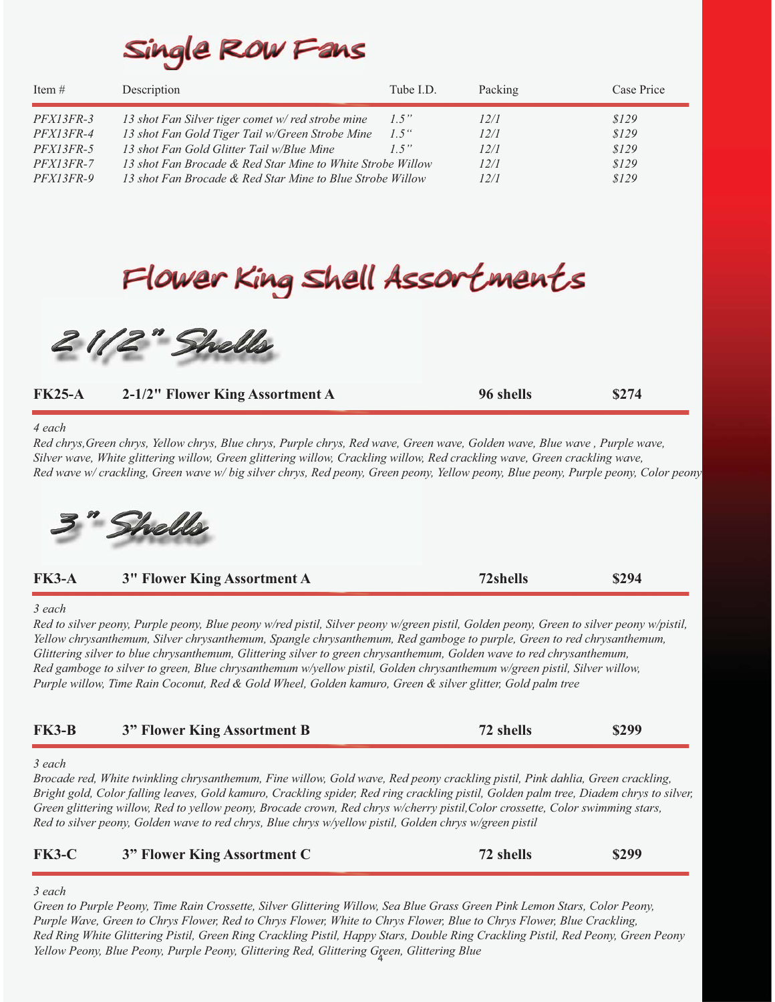# Single ROW Fans

| Item $#$         | Description                                                | Tube I.D. | Packing | Case Price |
|------------------|------------------------------------------------------------|-----------|---------|------------|
| <i>PFX13FR-3</i> | 13 shot Fan Silver tiger comet w/red strobe mine           | 1.5"      | 12/1    | \$129      |
| <i>PFX13FR-4</i> | 13 shot Fan Gold Tiger Tail w/Green Strobe Mine            | $1.5$ "   | 12/1    | \$129      |
| $PFX13FR-5$      | 13 shot Fan Gold Glitter Tail w/Blue Mine                  | 1.5"      | 12/1    | \$129      |
| $PFX13FR-7$      | 13 shot Fan Brocade & Red Star Mine to White Strobe Willow |           | 12/1    | \$129      |
| $PFX13FR-9$      | 13 shot Fan Brocade & Red Star Mine to Blue Strobe Willow  |           | 12/1    | \$129      |

# Flower King Shell Assortments

2112" Shells

| <b>FK25-A</b> | 2-1/2" Flower King Assortment A                                                                                                                                                                                                                                                                                                                                                                                                                                                                                                                                                                                                 | 96 shells | \$274 |
|---------------|---------------------------------------------------------------------------------------------------------------------------------------------------------------------------------------------------------------------------------------------------------------------------------------------------------------------------------------------------------------------------------------------------------------------------------------------------------------------------------------------------------------------------------------------------------------------------------------------------------------------------------|-----------|-------|
| 4 each        | Red chrys, Green chrys, Yellow chrys, Blue chrys, Purple chrys, Red wave, Green wave, Golden wave, Blue wave, Purple wave,<br>Silver wave, White glittering willow, Green glittering willow, Crackling willow, Red crackling wave, Green crackling wave,<br>Red wave w/ crackling, Green wave w/ big silver chrys, Red peony, Green peony, Yellow peony, Blue peony, Purple peony, Color peony                                                                                                                                                                                                                                  |           |       |
| <b>FK3-A</b>  | Shells<br><b>3" Flower King Assortment A</b>                                                                                                                                                                                                                                                                                                                                                                                                                                                                                                                                                                                    | 72shells  | \$294 |
| 3 each        | Red to silver peony, Purple peony, Blue peony w/red pistil, Silver peony w/green pistil, Golden peony, Green to silver peony w/pistil,<br>Yellow chrysanthemum, Silver chrysanthemum, Spangle chrysanthemum, Red gamboge to purple, Green to red chrysanthemum,<br>Glittering silver to blue chrysanthemum, Glittering silver to green chrysanthemum, Golden wave to red chrysanthemum,<br>Red gamboge to silver to green, Blue chrysanthemum w/yellow pistil, Golden chrysanthemum w/green pistil, Silver willow,<br>Purple willow, Time Rain Coconut, Red & Gold Wheel, Golden kamuro, Green & silver glitter, Gold palm tree |           |       |
| <b>FK3-B</b>  | 3" Flower King Assortment B                                                                                                                                                                                                                                                                                                                                                                                                                                                                                                                                                                                                     | 72 shells | \$299 |
| 3 each        | Brocade red, White twinkling chrysanthemum, Fine willow, Gold wave, Red peony crackling pistil, Pink dahlia, Green crackling,<br>Bright gold, Color falling leaves, Gold kamuro, Crackling spider, Red ring crackling pistil, Golden palm tree, Diadem chrys to silver,<br>Green glittering willow, Red to yellow peony, Brocade crown, Red chrys w/cherry pistil, Color crossette, Color swimming stars,<br>Red to silver peony, Golden wave to red chrys, Blue chrys w/yellow pistil, Golden chrys w/green pistil                                                                                                             |           |       |
| <b>FK3-C</b>  | 3" Flower King Assortment C                                                                                                                                                                                                                                                                                                                                                                                                                                                                                                                                                                                                     | 72 shells | \$299 |

#### *3 each*

*Green to Purple Peony, Time Rain Crossette, Silver Glittering Willow, Sea Blue Grass Green Pink Lemon Stars, Color Peony, Purple Wave, Green to Chrys Flower, Red to Chrys Flower, White to Chrys Flower, Blue to Chrys Flower, Blue Crackling, Red Ring White Glittering Pistil, Green Ring Crackling Pistil, Happy Stars, Double Ring Crackling Pistil, Red Peony, Green Peony Yellow Peony, Blue Peony, Purple Peony, Glittering Red, Glittering Green, Glittering Blue* <sup>4</sup>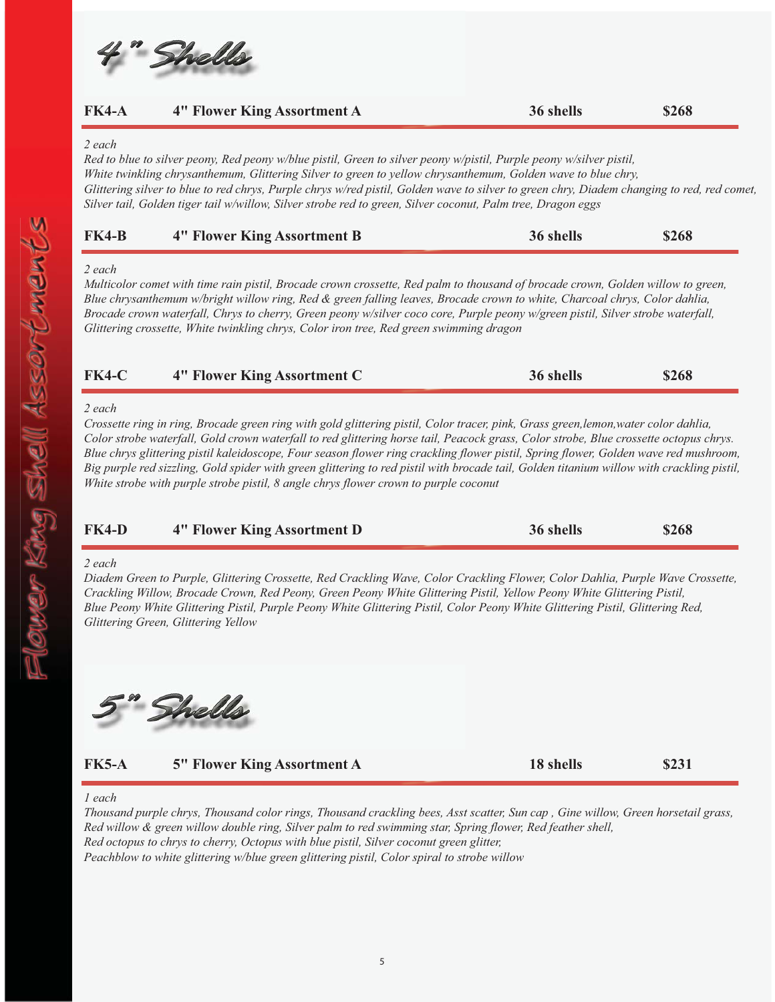

| <b>FK4-A</b> | 4" Flower King Assortment A                                                                                                                                                                                                                                                                                                                                                                                                        | 36 shells | \$268 |
|--------------|------------------------------------------------------------------------------------------------------------------------------------------------------------------------------------------------------------------------------------------------------------------------------------------------------------------------------------------------------------------------------------------------------------------------------------|-----------|-------|
| 2 each       |                                                                                                                                                                                                                                                                                                                                                                                                                                    |           |       |
|              | Red to blue to silver peony, Red peony w/blue pistil, Green to silver peony w/pistil, Purple peony w/silver pistil,<br>$\mathbf{v}$ , $\mathbf{v}$ , $\mathbf{v}$ , $\mathbf{v}$ , $\mathbf{v}$ , $\mathbf{v}$ , $\mathbf{v}$ , $\mathbf{v}$ , $\mathbf{v}$ , $\mathbf{v}$ , $\mathbf{v}$ , $\mathbf{v}$ , $\mathbf{v}$ , $\mathbf{v}$ , $\mathbf{v}$ , $\mathbf{v}$ , $\mathbf{v}$ , $\mathbf{v}$ , $\mathbf{v}$ , $\mathbf{v}$ , |           |       |

*White twinkling chrysanthemum, Glittering Silver to green to yellow chrysanthemum, Golden wave to blue chry, Glittering silver to blue to red chrys, Purple chrys w/red pistil, Golden wave to silver to green chry, Diadem changing to red, red comet, Silver tail, Golden tiger tail w/willow, Silver strobe red to green, Silver coconut, Palm tree, Dragon eggs*

| $FK4-B$ | <b>4" Flower King Assortment B</b> | 36 shells | \$268 |
|---------|------------------------------------|-----------|-------|
|         |                                    |           |       |

#### *2 each*

*Multicolor comet with time rain pistil, Brocade crown crossette, Red palm to thousand of brocade crown, Golden willow to green, Blue chrysanthemum w/bright willow ring, Red & green falling leaves, Brocade crown to white, Charcoal chrys, Color dahlia, Brocade crown waterfall, Chrys to cherry, Green peony w/silver coco core, Purple peony w/green pistil, Silver strobe waterfall, Glittering crossette, White twinkling chrys, Color iron tree, Red green swimming dragon*

| <b>FK4-C</b> | <b>4" Flower King Assortment C</b> | 36 shells | \$268 |
|--------------|------------------------------------|-----------|-------|
|              |                                    |           |       |

#### *2 each*

*Crossette ring in ring, Brocade green ring with gold glittering pistil, Color tracer, pink, Grass green,lemon,water color dahlia, Color strobe waterfall, Gold crown waterfall to red glittering horse tail, Peacock grass, Color strobe, Blue crossette octopus chrys. Blue chrys glittering pistil kaleidoscope, Four season flower ring crackling flower pistil, Spring flower, Golden wave red mushroom, Big purple red sizzling, Gold spider with green glittering to red pistil with brocade tail, Golden titanium willow with crackling pistil, White strobe with purple strobe pistil, 8 angle chrys flower crown to purple coconut*

| $FK4-D$ | 4" Flower King Assortment D | 36 shells | \$268 |
|---------|-----------------------------|-----------|-------|
|         |                             |           |       |

#### *2 each*

*Diadem Green to Purple, Glittering Crossette, Red Crackling Wave, Color Crackling Flower, Color Dahlia, Purple Wave Crossette, Crackling Willow, Brocade Crown, Red Peony, Green Peony White Glittering Pistil, Yellow Peony White Glittering Pistil, Blue Peony White Glittering Pistil, Purple Peony White Glittering Pistil, Color Peony White Glittering Pistil, Glittering Red, Glittering Green, Glittering Yellow*

Shells

**FK5-A FK5-A 5" Flower King Assortment A 18 shells \$231**

\$231

#### *1 each*

*Thousand purple chrys, Thousand color rings, Thousand crackling bees, Asst scatter, Sun cap , Gine willow, Green horsetail grass, Red willow & green willow double ring, Silver palm to red swimming star, Spring flower, Red feather shell, Red octopus to chrys to cherry, Octopus with blue pistil, Silver coconut green glitter, Peachblow to white glittering w/blue green glittering pistil, Color spiral to strobe willow*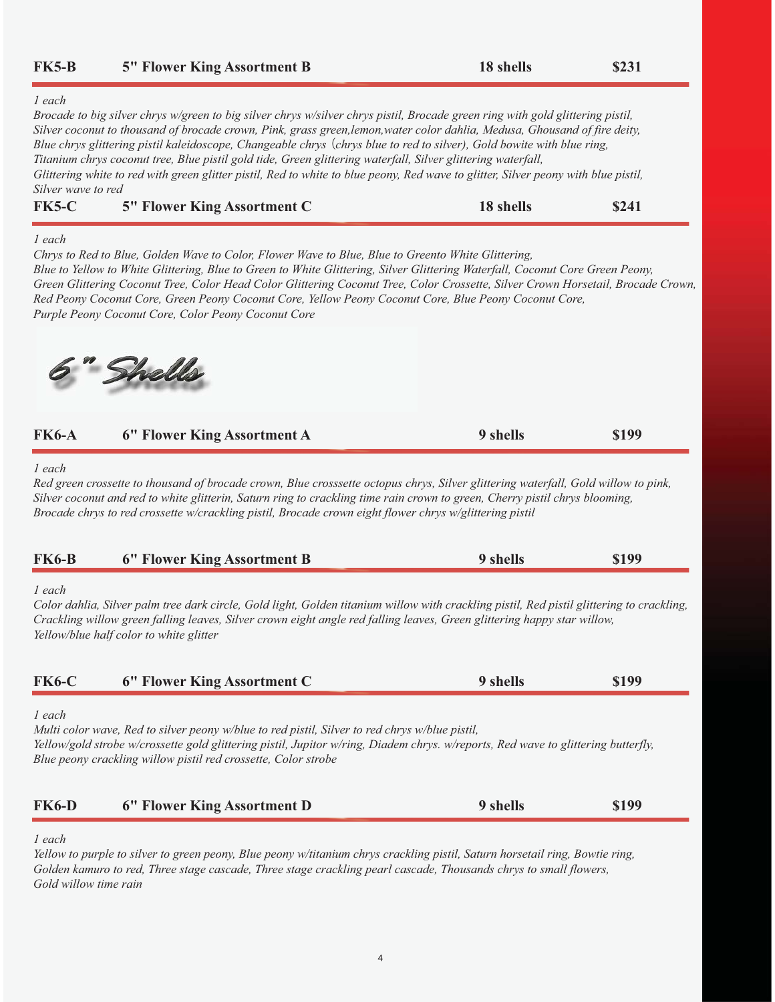| <b>FK5-B</b>                   | <b>5" Flower King Assortment B</b>                                                                                                                                                                                                                                                                                                                                                                                                                                                                                                                                                                                                         | 18 shells | \$231 |
|--------------------------------|--------------------------------------------------------------------------------------------------------------------------------------------------------------------------------------------------------------------------------------------------------------------------------------------------------------------------------------------------------------------------------------------------------------------------------------------------------------------------------------------------------------------------------------------------------------------------------------------------------------------------------------------|-----------|-------|
| $1$ each<br>Silver wave to red | Brocade to big silver chrys w/green to big silver chrys w/silver chrys pistil, Brocade green ring with gold glittering pistil,<br>Silver coconut to thousand of brocade crown, Pink, grass green,lemon,water color dahlia, Medusa, Ghousand of fire deity,<br>Blue chrys glittering pistil kaleidoscope, Changeable chrys (chrys blue to red to silver), Gold bowite with blue ring,<br>Titanium chrys coconut tree, Blue pistil gold tide, Green glittering waterfall, Silver glittering waterfall,<br>Glittering white to red with green glitter pistil, Red to white to blue peony, Red wave to glitter, Silver peony with blue pistil, |           |       |
| <b>FK5-C</b>                   | <b>5" Flower King Assortment C</b>                                                                                                                                                                                                                                                                                                                                                                                                                                                                                                                                                                                                         | 18 shells | \$241 |
| 1 each                         | Chrys to Red to Blue, Golden Wave to Color, Flower Wave to Blue, Blue to Greento White Glittering,<br>Blue to Yellow to White Glittering, Blue to Green to White Glittering, Silver Glittering Waterfall, Coconut Core Green Peony,<br>Green Glittering Coconut Tree, Color Head Color Glittering Coconut Tree, Color Crossette, Silver Crown Horsetail, Brocade Crown,<br>Red Peony Coconut Core, Green Peony Coconut Core, Yellow Peony Coconut Core, Blue Peony Coconut Core,<br>Purple Peony Coconut Core, Color Peony Coconut Core                                                                                                    |           |       |
|                                | Shells                                                                                                                                                                                                                                                                                                                                                                                                                                                                                                                                                                                                                                     |           |       |
| <b>FK6-A</b>                   | 6" Flower King Assortment A                                                                                                                                                                                                                                                                                                                                                                                                                                                                                                                                                                                                                | 9 shells  | \$199 |
| <b>FK6-B</b>                   | Red green crossette to thousand of brocade crown, Blue crosssette octopus chrys, Silver glittering waterfall, Gold willow to pink,<br>Silver coconut and red to white glitterin, Saturn ring to crackling time rain crown to green, Cherry pistil chrys blooming,<br>Brocade chrys to red crossette w/crackling pistil, Brocade crown eight flower chrys w/glittering pistil<br>6" Flower King Assortment B                                                                                                                                                                                                                                | 9 shells  | \$199 |
| $1$ each                       | Color dahlia, Silver palm tree dark circle, Gold light, Golden titanium willow with crackling pistil, Red pistil glittering to crackling,<br>Crackling willow green falling leaves, Silver crown eight angle red falling leaves, Green glittering happy star willow,<br>Yellow/blue half color to white glitter                                                                                                                                                                                                                                                                                                                            |           |       |
| <b>FK6-C</b>                   | 6" Flower King Assortment C                                                                                                                                                                                                                                                                                                                                                                                                                                                                                                                                                                                                                | 9 shells  | \$199 |
| $1$ each                       | Multi color wave, Red to silver peony w/blue to red pistil, Silver to red chrys w/blue pistil,<br>Yellow/gold strobe w/crossette gold glittering pistil, Jupitor w/ring, Diadem chrys. w/reports, Red wave to glittering butterfly,<br>Blue peony crackling willow pistil red crossette, Color strobe                                                                                                                                                                                                                                                                                                                                      |           |       |
| <b>FK6-D</b>                   | 6" Flower King Assortment D                                                                                                                                                                                                                                                                                                                                                                                                                                                                                                                                                                                                                | 9 shells  | \$199 |
| $1$ each                       | Yellow to purple to silver to green peony, Blue peony w/titanium chrys crackling pistil, Saturn horsetail ring, Bowtie ring,<br>Golden kamuro to red, Three stage cascade, Three stage crackling pearl cascade, Thousands chrys to small flowers,                                                                                                                                                                                                                                                                                                                                                                                          |           |       |

*Gold willow time rain*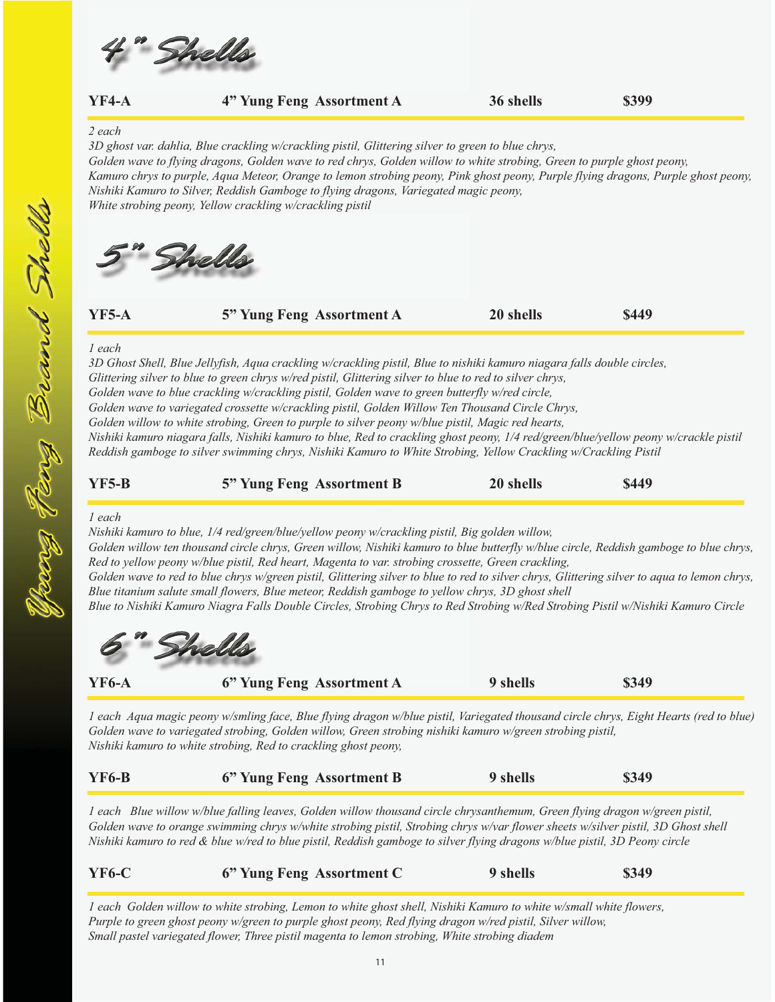

|              | Golden wave to flying dragons, Golden wave to red chrys, Golden willow to white strobing, Green to purple ghost peony,<br>Kamuro chrys to purple, Aqua Meteor, Orange to lemon strobing peony, Pink ghost peony, Purple flying dragons, Purple ghost peony,<br>Nishiki Kamuro to Silver, Reddish Gamboge to flying dragons, Variegated magic peony,<br>White strobing peony, Yellow crackling w/crackling pistil                                                 |           |       |
|--------------|------------------------------------------------------------------------------------------------------------------------------------------------------------------------------------------------------------------------------------------------------------------------------------------------------------------------------------------------------------------------------------------------------------------------------------------------------------------|-----------|-------|
| <b>YF5-A</b> | Shells<br>5" Yung Feng Assortment A                                                                                                                                                                                                                                                                                                                                                                                                                              | 20 shells | \$449 |
| $1$ each     | 3D Ghost Shell, Blue Jellyfish, Aqua crackling w/crackling pistil, Blue to nishiki kamuro niagara falls double circles,<br>Glittering silver to blue to green chrys w/red pistil, Glittering silver to blue to red to silver chrys,<br>Golden wave to blue crackling w/crackling pistil, Golden wave to green butterfly w/red circle,                                                                                                                            |           |       |
|              | Golden wave to variegated crossette w/crackling pistil, Golden Willow Ten Thousand Circle Chrys,<br>Golden willow to white strobing, Green to purple to silver peony w/blue pistil, Magic red hearts,<br>Nishiki kamuro niagara falls, Nishiki kamuro to blue, Red to crackling ghost peony, 1/4 red/green/blue/yellow peony w/crackle pistil<br>Reddish gamboge to silver swimming chrys, Nishiki Kamuro to White Strobing, Yellow Crackling w/Crackling Pistil |           |       |

| $YF5-B$ | 5" Yung Feng Assortment B | 20 shells | <b>\$449</b> |
|---------|---------------------------|-----------|--------------|
|         |                           |           |              |

#### *1 each*



| <b>YF6-A</b> | 6" Yung Feng Assortment A | 9 shells | <b>\$349</b> |
|--------------|---------------------------|----------|--------------|
|              |                           |          |              |

*1 each Aqua magic peony w/smling face, Blue flying dragon w/blue pistil, Variegated thousand circle chrys, Eight Hearts (red to blue) Golden wave to variegated strobing, Golden willow, Green strobing nishiki kamuro w/green strobing pistil, Nishiki kamuro to white strobing, Red to crackling ghost peony,* 

| <b>YF6-B</b> | 6" Yung Feng Assortment B | 9 shells | \$349 |
|--------------|---------------------------|----------|-------|
|              |                           |          |       |

*1 each Blue willow w/blue falling leaves, Golden willow thousand circle chrysanthemum, Green flying dragon w/green pistil, Golden wave to orange swimming chrys w/white strobing pistil, Strobing chrys w/var flower sheets w/silver pistil, 3D Ghost shell Nishiki kamuro to red & blue w/red to blue pistil, Reddish gamboge to silver flying dragons w/blue pistil, 3D Peony circle*

| <b>YF6-C</b> | 6" Yung Feng Assortment C                                                                                          | 9 shells | \$349 |
|--------------|--------------------------------------------------------------------------------------------------------------------|----------|-------|
|              | 1 each Golden willow to white strobing, Lemon to white ghost shell, Nishiki Kamuro to white w/small white flowers, |          |       |

*Purple to green ghost peony w/green to purple ghost peony, Red flying dragon w/red pistil, Silver willow, Small pastel variegated flower, Three pistil magenta to lemon strobing, White strobing diadem*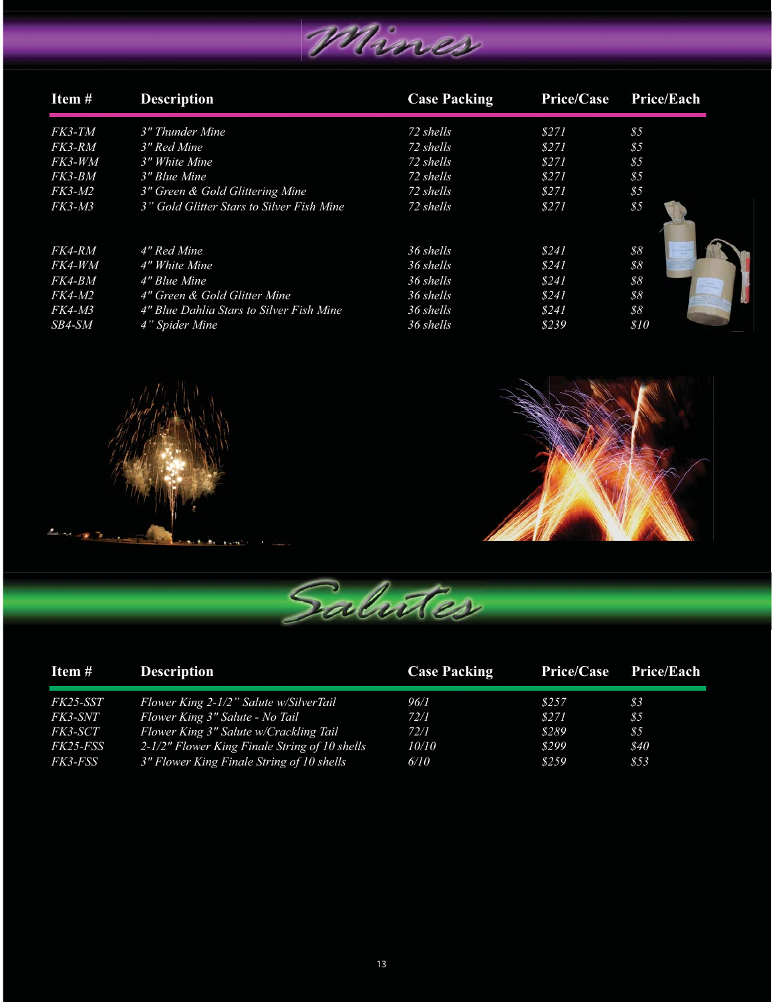

| Item#         | <b>Description</b>                        | <b>Case Packing</b> | Price/Case | Price/Each     |
|---------------|-------------------------------------------|---------------------|------------|----------------|
|               |                                           |                     |            |                |
| FK3-TM        | 3" Thunder Mine                           | 72 shells           | \$271      | \$5            |
| FK3-RM        | 3" Red Mine                               | 72 shells           | \$271      | \$5            |
| FK3-WM        | 3" White Mine                             | 72 shells           | \$271      | $\frac{85}{5}$ |
| FK3-BM        | 3" Blue Mine                              | 72 shells           | \$271      | 85             |
| <i>FK3-M2</i> | 3" Green & Gold Glittering Mine           | 72 shells           | \$271      | \$5            |
| <i>FK3-M3</i> | 3" Gold Glitter Stars to Silver Fish Mine | 72 shells           | \$271      | \$5            |
|               |                                           |                     |            |                |
| FK4-RM        | 4" Red Mine                               | 36 shells           | \$241      | 88             |
| FK4-WM        | 4" White Mine                             | 36 shells           | \$241      | 88             |
| FK4-BM        | 4" Blue Mine                              | 36 shells           | \$241      | 88             |
| <i>FK4-M2</i> | 4" Green & Gold Glitter Mine              | 36 shells           | \$241      | \$8            |
| <i>FK4-M3</i> | 4" Blue Dahlia Stars to Silver Fish Mine  | 36 shells           | \$241      | 88             |
| SB4-SM        | 4" Spider Mine                            | 36 shells           | \$239      | \$10           |





| Item #          | <b>Description</b>                            | <b>Case Packing</b> | <b>Price/Case</b> | <b>Price/Each</b> |
|-----------------|-----------------------------------------------|---------------------|-------------------|-------------------|
| FK25-SST        | Flower King 2-1/2" Salute w/SilverTail        | 96/1                | \$257             | 83                |
| FK3-SNT         | Flower King 3" Salute - No Tail               | 72/1                | \$271             | 85                |
| FK3-SCT         | Flower King 3" Salute w/Crackling Tail        | 72/1                | \$289             | 85                |
| <i>FK25-FSS</i> | 2-1/2" Flower King Finale String of 10 shells | 10/10               | \$299             | \$40              |
| <i>FK3-FSS</i>  | 3" Flower King Finale String of 10 shells     | 6/10                | \$259             | 853               |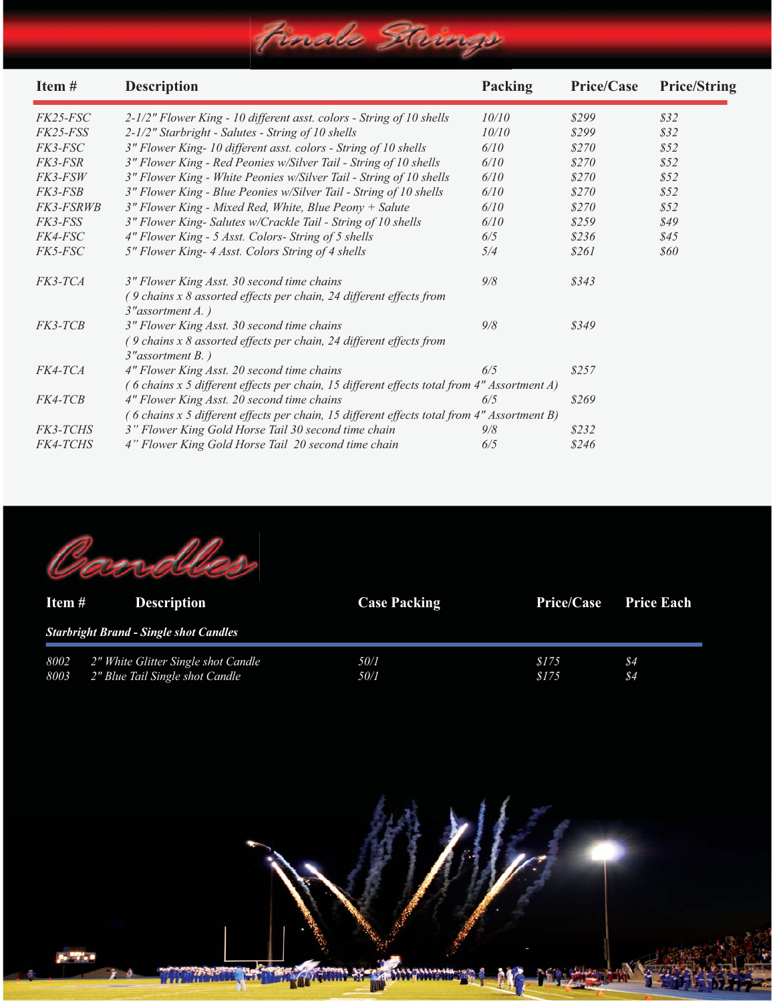



| Item $#$     | <b>Description</b>                                                     | <b>Case Packing</b> | <b>Price/Case</b> | <b>Price Each</b>     |
|--------------|------------------------------------------------------------------------|---------------------|-------------------|-----------------------|
|              | <b>Starbright Brand - Single shot Candles</b>                          |                     |                   |                       |
| 8002<br>8003 | 2" White Glitter Single shot Candle<br>2" Blue Tail Single shot Candle | 50/1<br>50/1        | \$175<br>\$175    | \$4<br>$\frac{84}{5}$ |

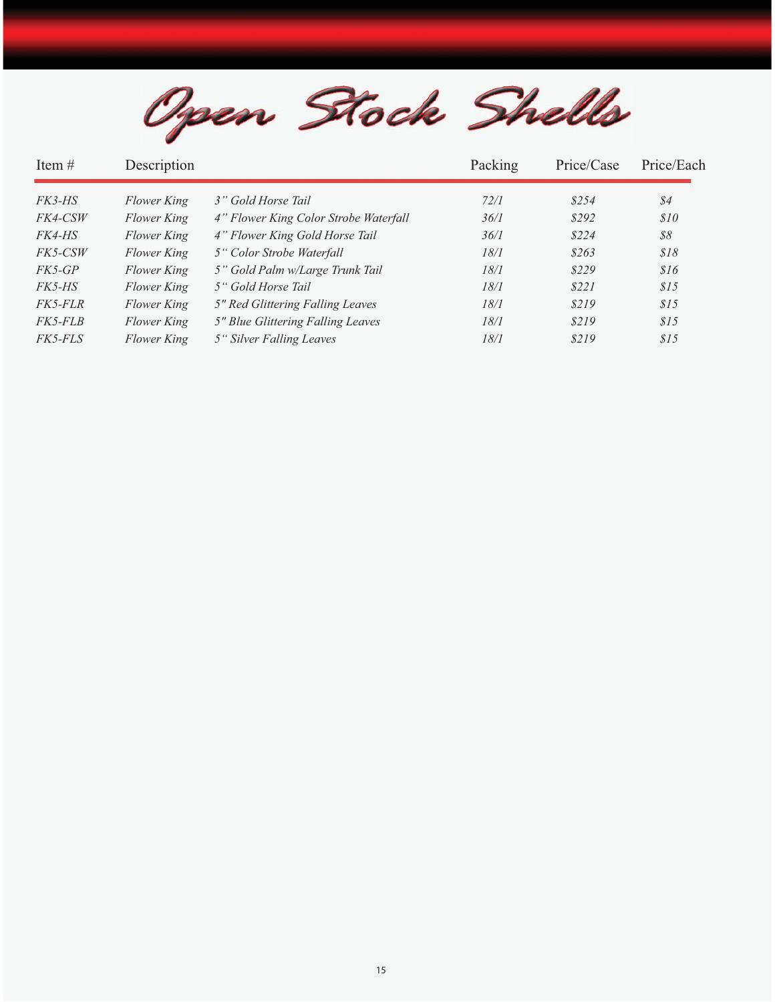Open Stock Shells

| Item $#$       | Description |                                       | Packing | Price/Case | Price/Each |
|----------------|-------------|---------------------------------------|---------|------------|------------|
| <i>FK3-HS</i>  | Flower King | 3" Gold Horse Tail                    | 72/1    | \$254      | \$4        |
| FK4-CSW        | Flower King | 4" Flower King Color Strobe Waterfall | 36/1    | \$292      | \$10       |
| <i>FK4-HS</i>  | Flower King | 4" Flower King Gold Horse Tail        | 36/1    | \$224      | 88         |
| FK5-CSW        | Flower King | 5" Color Strobe Waterfall             | 18/1    | \$263      | \$18       |
| FK5-GP         | Flower King | 5" Gold Palm w/Large Trunk Tail       | 18/1    | \$229      | \$16       |
| <i>FK5-HS</i>  | Flower King | 5" Gold Horse Tail                    | 18/1    | \$221      | \$15       |
| <i>FK5-FLR</i> | Flower King | 5" Red Glittering Falling Leaves      | 18/1    | \$219      | \$15       |
| <i>FK5-FLB</i> | Flower King | 5" Blue Glittering Falling Leaves     | 18/1    | \$219      | \$15       |
| <i>FK5-FLS</i> | Flower King | 5" Silver Falling Leaves              | 18/1    | \$219      | 815        |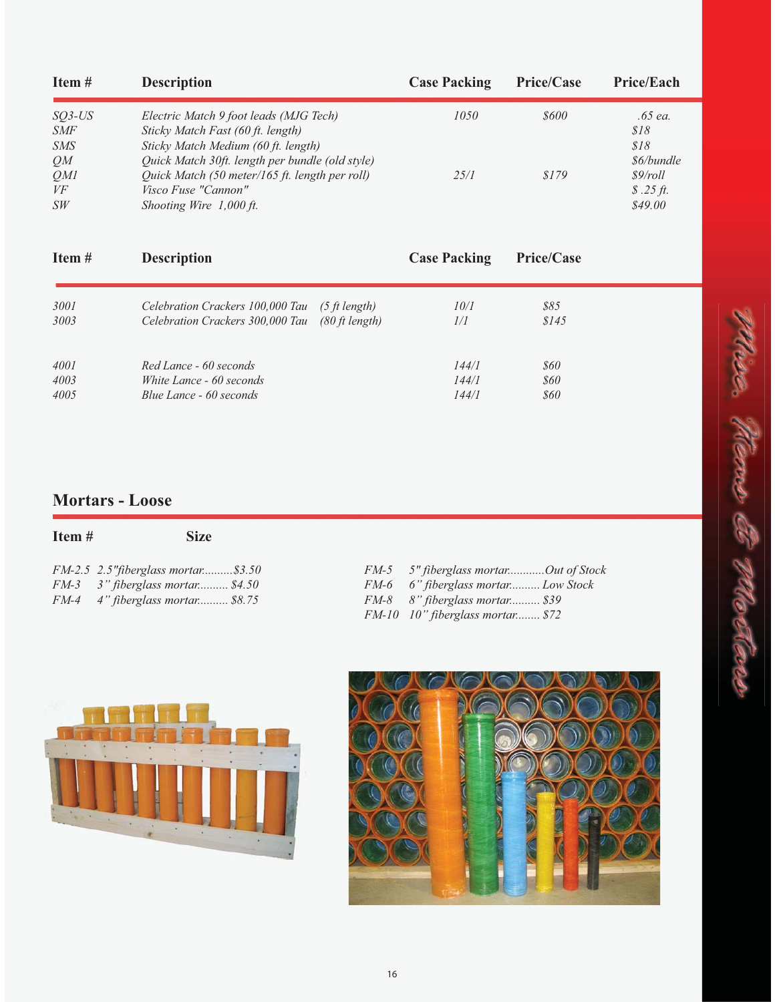| Item#      | <b>Description</b>                              | <b>Case Packing</b> | <b>Price/Case</b> | <b>Price/Each</b> |
|------------|-------------------------------------------------|---------------------|-------------------|-------------------|
| $SO3$ -US  | Electric Match 9 foot leads (MJG Tech)          | 1050                | \$600             | .65 ea.           |
| <b>SMF</b> | Sticky Match Fast (60 ft. length)               |                     |                   | \$18              |
| <i>SMS</i> | Sticky Match Medium (60 ft. length)             |                     |                   | \$18              |
| QM         | Quick Match 30ft. length per bundle (old style) |                     |                   | \$6/bundle        |
| OMI        | Quick Match (50 meter/165 ft. length per roll)  | 25/1                | \$179             | \$9/roll          |
| VF         | Visco Fuse "Cannon"                             |                     |                   | \$.25 ft.         |
| SW         | Shooting Wire 1,000 ft.                         |                     |                   | \$49.00           |

| Item# | <b>Description</b>                              | <b>Case Packing</b> | <b>Price/Case</b> |  |
|-------|-------------------------------------------------|---------------------|-------------------|--|
| 3001  | Celebration Crackers 100,000 Tau (5 ft length)  | 10/1                | 885               |  |
| 3003  | Celebration Crackers 300,000 Tau (80 ft length) | 1/I                 | \$145             |  |
| 4001  | Red Lance - 60 seconds                          | 144/1               | <i><b>860</b></i> |  |
| 4003  | White Lance - 60 seconds                        | 144/1               | <i><b>860</b></i> |  |
| 4005  | Blue Lance - 60 seconds                         | 144/1               | <i><b>860</b></i> |  |

## **Mortars - Loose**

| Item# | <b>Size</b>                   |
|-------|-------------------------------|
|       | FM-2.5 2.5" fiberglass mortar |

| $FM-2.5$ 2.5" fiberglass mortar\$3.50 | FM-5 5" fiberglass mortarOut of Stock |
|---------------------------------------|---------------------------------------|
| $FM-3$ 3" fiberglass mortar \$4.50    | FM-6 6" fiberglass mortar Low Stock   |
| FM-4 4" fiberglass mortar \$8.75      | FM-8 8" fiberglass mortar \$39        |
|                                       | FM-10 10" fiberglass mortar \$72      |





e. Nems E 1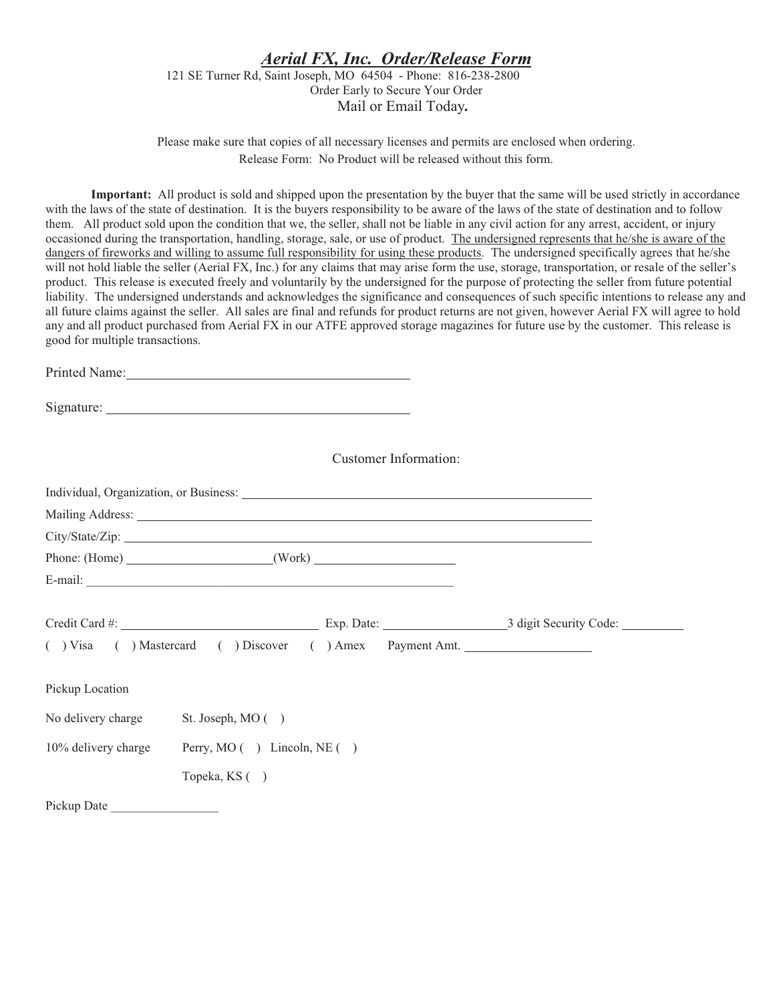#### **Aerial FX, Inc. Order/Release Form** 121 SE Turner Rd, Saint Joseph, MO 64504 - Phone: 816-238-2800 Order Early to Secure Your Order Mail or Email Today.

Please make sure that copies of all necessary licenses and permits are enclosed when ordering. Release Form: No Product will be released without this form.

Important: All product is sold and shipped upon the presentation by the buyer that the same will be used strictly in accordance with the laws of the state of destination. It is the buyers responsibility to be aware of the laws of the state of destination and to follow them. All product sold upon the condition that we, the seller, shall not be liable in any civil action for any arrest, accident, or injury occasioned during the transportation, handling, storage, sale, or use of product. The undersigned represents that he/she is aware of the dangers of fireworks and willing to assume full responsibility for using these products. The undersigned specifically agrees that he/she will not hold liable the seller (Aerial FX, Inc.) for any claims that may arise form the use, storage, transportation, or resale of the seller's product. This release is executed freely and voluntarily by the undersigned for the purpose of protecting the seller from future potential liability. The undersigned understands and acknowledges the significance and consequences of such specific intentions to release any and all future claims against the seller. All sales are final and refunds for product returns are not given, however Aerial FX will agree to hold any and all product purchased from Aerial FX in our ATFE approved storage magazines for future use by the customer. This release is good for multiple transactions.

Printed Name:

| Signature: |  |
|------------|--|
|            |  |

**Customer Information:** 

|                                      | Individual, Organization, or Business:                 |  |  |
|--------------------------------------|--------------------------------------------------------|--|--|
|                                      |                                                        |  |  |
|                                      | City/State/Zip:                                        |  |  |
|                                      |                                                        |  |  |
|                                      |                                                        |  |  |
|                                      |                                                        |  |  |
|                                      | () Visa () Mastercard () Discover () Amex Payment Amt. |  |  |
| Pickup Location                      |                                                        |  |  |
| No delivery charge St. Joseph, MO () |                                                        |  |  |
| 10% delivery charge                  | Perry, MO () Lincoln, NE ()                            |  |  |
|                                      | Topeka, KS ()                                          |  |  |
| Pickup Date                          |                                                        |  |  |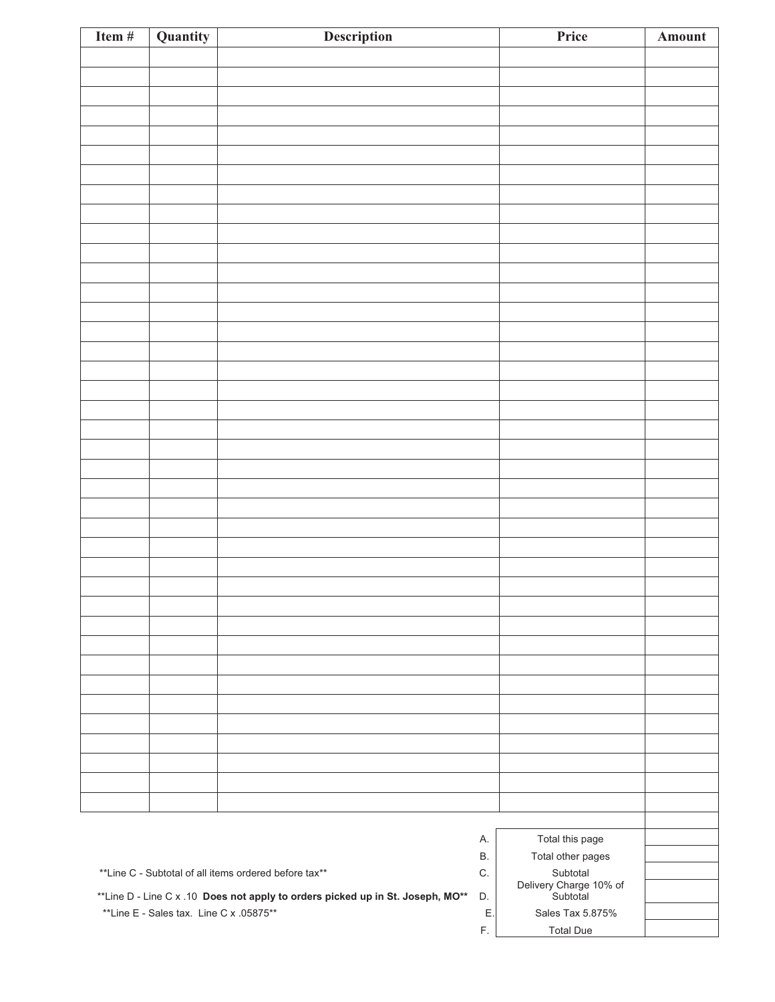| Item #                                                                         | Quantity                                | <b>Description</b> |               | Price                              | Amount |
|--------------------------------------------------------------------------------|-----------------------------------------|--------------------|---------------|------------------------------------|--------|
|                                                                                |                                         |                    |               |                                    |        |
|                                                                                |                                         |                    |               |                                    |        |
|                                                                                |                                         |                    |               |                                    |        |
|                                                                                |                                         |                    |               |                                    |        |
|                                                                                |                                         |                    |               |                                    |        |
|                                                                                |                                         |                    |               |                                    |        |
|                                                                                |                                         |                    |               |                                    |        |
|                                                                                |                                         |                    |               |                                    |        |
|                                                                                |                                         |                    |               |                                    |        |
|                                                                                |                                         |                    |               |                                    |        |
|                                                                                |                                         |                    |               |                                    |        |
|                                                                                |                                         |                    |               |                                    |        |
|                                                                                |                                         |                    |               |                                    |        |
|                                                                                |                                         |                    |               |                                    |        |
|                                                                                |                                         |                    |               |                                    |        |
|                                                                                |                                         |                    |               |                                    |        |
|                                                                                |                                         |                    |               |                                    |        |
|                                                                                |                                         |                    |               |                                    |        |
|                                                                                |                                         |                    |               |                                    |        |
|                                                                                |                                         |                    |               |                                    |        |
|                                                                                |                                         |                    |               |                                    |        |
|                                                                                |                                         |                    |               |                                    |        |
|                                                                                |                                         |                    |               |                                    |        |
|                                                                                |                                         |                    |               |                                    |        |
|                                                                                |                                         |                    |               |                                    |        |
|                                                                                |                                         |                    |               |                                    |        |
|                                                                                |                                         |                    |               |                                    |        |
|                                                                                |                                         |                    |               |                                    |        |
|                                                                                |                                         |                    |               |                                    |        |
|                                                                                |                                         |                    |               |                                    |        |
|                                                                                |                                         |                    |               |                                    |        |
|                                                                                |                                         |                    |               |                                    |        |
|                                                                                |                                         |                    |               |                                    |        |
|                                                                                |                                         |                    |               |                                    |        |
|                                                                                |                                         |                    |               |                                    |        |
|                                                                                |                                         |                    |               |                                    |        |
|                                                                                |                                         |                    |               |                                    |        |
|                                                                                |                                         |                    |               |                                    |        |
|                                                                                |                                         |                    |               |                                    |        |
|                                                                                |                                         |                    |               |                                    |        |
|                                                                                |                                         |                    |               |                                    |        |
|                                                                                |                                         |                    |               |                                    |        |
|                                                                                |                                         |                    | А.<br>В.      | Total this page                    |        |
|                                                                                |                                         |                    |               | Total other pages                  |        |
| **Line C - Subtotal of all items ordered before tax**                          |                                         |                    |               | Subtotal                           |        |
| **Line D - Line C x .10 Does not apply to orders picked up in St. Joseph, MO** |                                         |                    | D.            | Delivery Charge 10% of<br>Subtotal |        |
|                                                                                | **Line E - Sales tax. Line C x .05875** |                    | Ε.            | Sales Tax 5.875%                   |        |
|                                                                                |                                         |                    | $\mathsf{F}.$ | <b>Total Due</b>                   |        |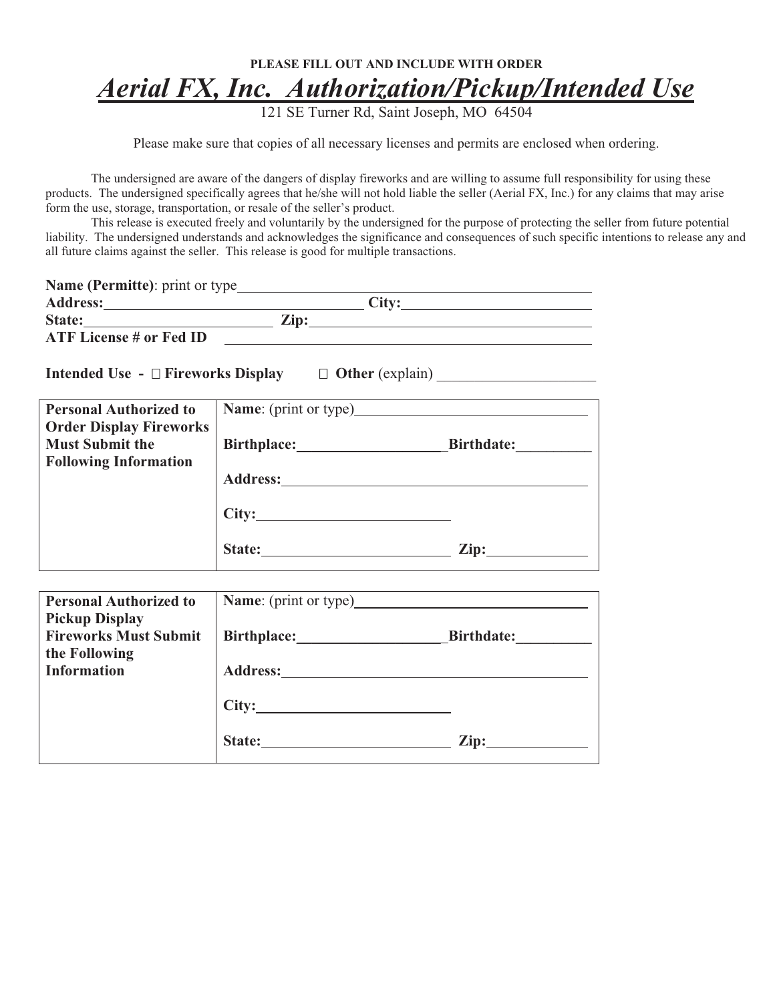## PLEASE FILL OUT AND INCLUDE WITH ORDER **Aerial FX, Inc. Authorization/Pickup/Intended Use**<br>121 SE Turner Rd, Saint Joseph, MO 64504

Please make sure that copies of all necessary licenses and permits are enclosed when ordering.

The undersigned are aware of the dangers of display fireworks and are willing to assume full responsibility for using these products. The undersigned specifically agrees that he/she will not hold liable the seller (Aerial FX, Inc.) for any claims that may arise form the use, storage, transportation, or resale of the seller's product.

This release is executed freely and voluntarily by the undersigned for the purpose of protecting the seller from future potential liability. The undersigned understands and acknowledges the significance and consequences of such specific intentions to release any and all future claims against the seller. This release is good for multiple transactions.

| <b>Name (Permitte):</b> print or type |      |              |  |
|---------------------------------------|------|--------------|--|
| <b>Address:</b>                       |      | <b>City:</b> |  |
| State:                                | Zip: |              |  |
| <b>ATF License # or Fed ID</b>        |      |              |  |
|                                       |      |              |  |

Intended Use - □ Fireworks Display  $\Box$  Other (explain)

| <b>Personal Authorized to</b>  | <b>Name:</b> (print or type) |                   |  |
|--------------------------------|------------------------------|-------------------|--|
| <b>Order Display Fireworks</b> |                              |                   |  |
| <b>Must Submit the</b>         |                              | <b>Birthdate:</b> |  |
| <b>Following Information</b>   |                              |                   |  |
|                                | <b>Address:</b>              |                   |  |
|                                | City:                        |                   |  |
|                                | State:                       | Zip:              |  |

| <b>Personal Authorized to</b>                         |                 |                   |
|-------------------------------------------------------|-----------------|-------------------|
| <b>Pickup Display</b><br><b>Fireworks Must Submit</b> | Birthplace:     | <b>Birthdate:</b> |
| the Following                                         |                 |                   |
| <b>Information</b>                                    | <b>Address:</b> |                   |
|                                                       | City:           |                   |
|                                                       | State:          | Zip:              |